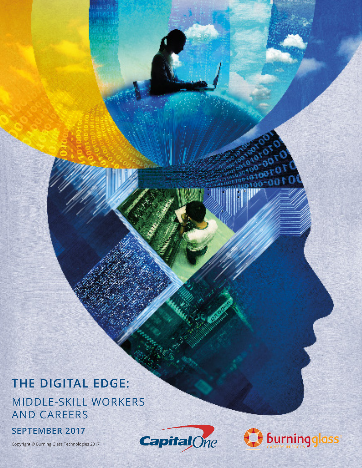# **THE DIGITAL EDGE:** MIDDLE-SKILL WORKERS AND CAREERS

### **SEPTEMBER 2017**

Copyright © Burning Glass Technologies 2017



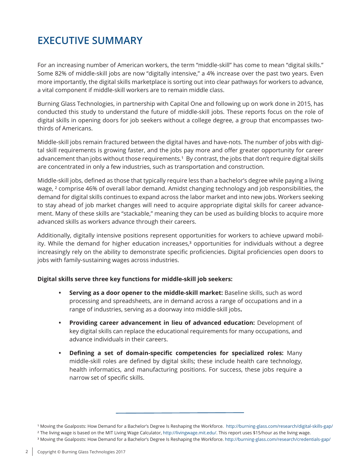### **EXECUTIVE SUMMARY**

For an increasing number of American workers, the term "middle-skill" has come to mean "digital skills." Some 82% of middle-skill jobs are now "digitally intensive," a 4% increase over the past two years. Even more importantly, the digital skills marketplace is sorting out into clear pathways for workers to advance, a vital component if middle-skill workers are to remain middle class.

Burning Glass Technologies, in partnership with Capital One and following up on work done in 2015, has conducted this study to understand the future of middle-skill jobs. These reports focus on the role of digital skills in opening doors for job seekers without a college degree, a group that encompasses twothirds of Americans.

Middle-skill jobs remain fractured between the digital haves and have-nots. The number of jobs with digital skill requirements is growing faster, and the jobs pay more and offer greater opportunity for career advancement than jobs without those requirements.<sup>1</sup> By contrast, the jobs that don't require digital skills are concentrated in only a few industries, such as transportation and construction.

Middle-skill jobs, defined as those that typically require less than a bachelor's degree while paying a living wage, <sup>2</sup> comprise 46% of overall labor demand. Amidst changing technology and job responsibilities, the demand for digital skills continues to expand across the labor market and into new jobs. Workers seeking to stay ahead of job market changes will need to acquire appropriate digital skills for career advancement. Many of these skills are "stackable," meaning they can be used as building blocks to acquire more advanced skills as workers advance through their careers.

Additionally, digitally intensive positions represent opportunities for workers to achieve upward mobility. While the demand for higher education increases,<sup>3</sup> opportunities for individuals without a degree increasingly rely on the ability to demonstrate specific proficiencies. Digital proficiencies open doors to jobs with family-sustaining wages across industries.

#### **Digital skills serve three key functions for middle-skill job seekers:**

- **• Serving as a door opener to the middle-skill market:** Baseline skills, such as word processing and spreadsheets, are in demand across a range of occupations and in a range of industries, serving as a doorway into middle-skill jobs**.**
- **• Providing career advancement in lieu of advanced education:** Development of key digital skills can replace the educational requirements for many occupations, and advance individuals in their careers.
- **• Defining a set of domain-specific competencies for specialized roles:** Many middle-skill roles are defined by digital skills; these include health care technology, health informatics, and manufacturing positions. For success, these jobs require a narrow set of specific skills.

<sup>1</sup> Moving the Goalposts: How Demand for a Bachelor's Degree Is Reshaping the Workforce. http://burning-glass.com/research/digital-skills-gap/

² The living wage is based on the MIT Living Wage Calculator, http://livingwage.mit.edu/. This report uses \$15/hour as the living wage.

³ Moving the Goalposts: How Demand for a Bachelor's Degree Is Reshaping the Workforce. http://burning-glass.com/research/credentials-gap/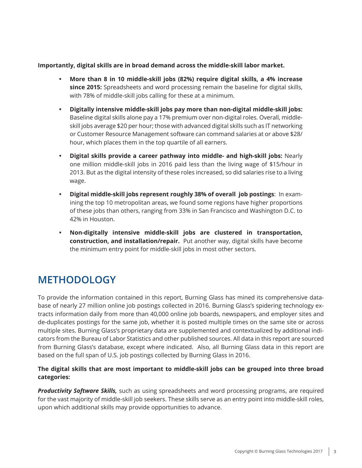### **Importantly, digital skills are in broad demand across the middle-skill labor market.**

- **• More than 8 in 10 middle-skill jobs (82%) require digital skills, a 4% increase since 2015:** Spreadsheets and word processing remain the baseline for digital skills, with 78% of middle-skill jobs calling for these at a minimum.
- **• Digitally intensive middle-skill jobs pay more than non-digital middle-skill jobs:**  Baseline digital skills alone pay a 17% premium over non-digital roles. Overall, middleskill jobs average \$20 per hour; those with advanced digital skills such as IT networking or Customer Resource Management software can command salaries at or above \$28/ hour, which places them in the top quartile of all earners.
- **• Digital skills provide a career pathway into middle- and high-skill jobs:** Nearly one million middle-skill jobs in 2016 paid less than the living wage of \$15/hour in 2013. But as the digital intensity of these roles increased, so did salaries rise to a living wage.
- **• Digital middle-skill jobs represent roughly 38% of overall job postings**: In examining the top 10 metropolitan areas, we found some regions have higher proportions of these jobs than others, ranging from 33% in San Francisco and Washington D.C. to 42% in Houston.
- **• Non-digitally intensive middle-skill jobs are clustered in transportation, construction, and installation/repair.** Put another way, digital skills have become the minimum entry point for middle-skill jobs in most other sectors.

### **METHODOLOGY**

To provide the information contained in this report, Burning Glass has mined its comprehensive database of nearly 27 million online job postings collected in 2016. Burning Glass's spidering technology extracts information daily from more than 40,000 online job boards, newspapers, and employer sites and de-duplicates postings for the same job, whether it is posted multiple times on the same site or across multiple sites. Burning Glass's proprietary data are supplemented and contextualized by additional indicators from the Bureau of Labor Statistics and other published sources. All data in this report are sourced from Burning Glass's database, except where indicated. Also, all Burning Glass data in this report are based on the full span of U.S. job postings collected by Burning Glass in 2016.

### **The digital skills that are most important to middle-skill jobs can be grouped into three broad categories:**

*Productivity Software Skills,* such as using spreadsheets and word processing programs, are required for the vast majority of middle-skill job seekers. These skills serve as an entry point into middle-skill roles, upon which additional skills may provide opportunities to advance.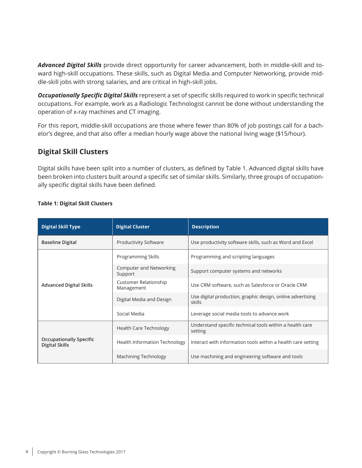*Advanced Digital Skills* provide direct opportunity for career advancement, both in middle-skill and toward high-skill occupations. These skills, such as Digital Media and Computer Networking, provide middle-skill jobs with strong salaries, and are critical in high-skill jobs.

*Occupationally Specific Digital Skills* represent a set of specific skills required to work in specific technical occupations. For example, work as a Radiologic Technologist cannot be done without understanding the operation of x-ray machines and CT imaging.

For this report, middle-skill occupations are those where fewer than 80% of job postings call for a bachelor's degree, and that also offer a median hourly wage above the national living wage (\$15/hour).

### **Digital Skill Clusters**

Digital skills have been split into a number of clusters, as defined by Table 1. Advanced digital skills have been broken into clusters built around a specific set of similar skills. Similarly, three groups of occupationally specific digital skills have been defined.

| <b>Digital Skill Type</b>                        | <b>Digital Cluster</b>               | <b>Description</b>                                                   |  |  |
|--------------------------------------------------|--------------------------------------|----------------------------------------------------------------------|--|--|
| <b>Baseline Digital</b>                          | <b>Productivity Software</b>         | Use productivity software skills, such as Word and Excel             |  |  |
|                                                  | Programming Skills                   | Programming and scripting languages                                  |  |  |
| <b>Advanced Digital Skills</b>                   | Computer and Networking<br>Support   | Support computer systems and networks                                |  |  |
|                                                  | Customer Relationship<br>Management  | Use CRM software, such as Salesforce or Oracle CRM                   |  |  |
|                                                  | Digital Media and Design             | Use digital production, graphic design, online advertising<br>skills |  |  |
|                                                  | Social Media                         | Leverage social media tools to advance work                          |  |  |
|                                                  | <b>Health Care Technology</b>        | Understand specific technical tools within a health care<br>setting  |  |  |
| <b>Occupationally Specific</b><br>Digital Skills | <b>Health Information Technology</b> | Interact with information tools within a health care setting         |  |  |
|                                                  | Machining Technology                 | Use machining and engineering software and tools                     |  |  |

#### **Table 1: Digital Skill Clusters**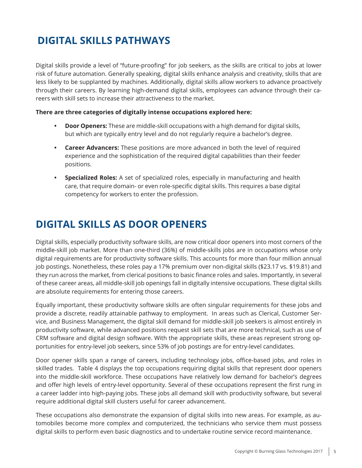## **DIGITAL SKILLS PATHWAYS**

Digital skills provide a level of "future-proofing" for job seekers, as the skills are critical to jobs at lower risk of future automation. Generally speaking, digital skills enhance analysis and creativity, skills that are less likely to be supplanted by machines. Additionally, digital skills allow workers to advance proactively through their careers. By learning high-demand digital skills, employees can advance through their careers with skill sets to increase their attractiveness to the market.

#### **There are three categories of digitally intense occupations explored here:**

- **• Door Openers:** These are middle-skill occupations with a high demand for digital skills, but which are typically entry level and do not regularly require a bachelor's degree.
- **• Career Advancers:** These positions are more advanced in both the level of required experience and the sophistication of the required digital capabilities than their feeder positions.
- **• Specialized Roles:** A set of specialized roles, especially in manufacturing and health care, that require domain- or even role-specific digital skills. This requires a base digital competency for workers to enter the profession.

### **DIGITAL SKILLS AS DOOR OPENERS**

Digital skills, especially productivity software skills, are now critical door openers into most corners of the middle-skill job market. More than one-third (36%) of middle-skills jobs are in occupations whose only digital requirements are for productivity software skills. This accounts for more than four million annual job postings. Nonetheless, these roles pay a 17% premium over non-digital skills (\$23.17 vs. \$19.81) and they run across the market, from clerical positions to basic finance roles and sales. Importantly, in several of these career areas, all middle-skill job openings fall in digitally intensive occupations. These digital skills are absolute requirements for entering those careers.

Equally important, these productivity software skills are often singular requirements for these jobs and provide a discrete, readily attainable pathway to employment. In areas such as Clerical, Customer Service, and Business Management, the digital skill demand for middle-skill job seekers is almost entirely in productivity software, while advanced positions request skill sets that are more technical, such as use of CRM software and digital design software. With the appropriate skills, these areas represent strong opportunities for entry-level job seekers, since 53% of job postings are for entry-level candidates.

Door opener skills span a range of careers, including technology jobs, office-based jobs, and roles in skilled trades. Table 4 displays the top occupations requiring digital skills that represent door openers into the middle-skill workforce. These occupations have relatively low demand for bachelor's degrees and offer high levels of entry-level opportunity. Several of these occupations represent the first rung in a career ladder into high-paying jobs. These jobs all demand skill with productivity software, but several require additional digital skill clusters useful for career advancement.

These occupations also demonstrate the expansion of digital skills into new areas. For example, as automobiles become more complex and computerized, the technicians who service them must possess digital skills to perform even basic diagnostics and to undertake routine service record maintenance.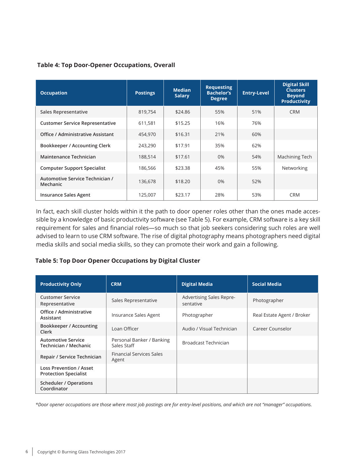### **Table 4: Top Door-Opener Occupations, Overall**

| <b>Occupation</b>                           | <b>Postings</b> | <b>Median</b><br><b>Salary</b> | <b>Requesting</b><br><b>Bachelor's</b><br><b>Degree</b> | <b>Entry-Level</b> | <b>Digital Skill</b><br><b>Clusters</b><br><b>Beyond</b><br><b>Productivity</b> |
|---------------------------------------------|-----------------|--------------------------------|---------------------------------------------------------|--------------------|---------------------------------------------------------------------------------|
| <b>Sales Representative</b>                 | 819,754         | \$24.86                        | 55%                                                     | 51%                | <b>CRM</b>                                                                      |
| <b>Customer Service Representative</b>      | 611.581         | \$15.25                        | 16%                                                     | 76%                |                                                                                 |
| Office / Administrative Assistant           | 454,970         | \$16.31                        | 21%                                                     | 60%                |                                                                                 |
| <b>Bookkeeper / Accounting Clerk</b>        | 243,290         | \$17.91                        | 35%                                                     | 62%                |                                                                                 |
| Maintenance Technician                      | 188,514         | \$17.61                        | $0\%$                                                   | 54%                | Machining Tech                                                                  |
| <b>Computer Support Specialist</b>          | 186,566         | \$23.38                        | 45%                                                     | 55%                | Networking                                                                      |
| Automotive Service Technician /<br>Mechanic | 136,678         | \$18.20                        | $0\%$                                                   | 52%                |                                                                                 |
| <b>Insurance Sales Agent</b>                | 125,007         | \$23.17                        | 28%                                                     | 53%                | <b>CRM</b>                                                                      |

In fact, each skill cluster holds within it the path to door opener roles other than the ones made accessible by a knowledge of basic productivity software (see Table 5). For example, CRM software is a key skill requirement for sales and financial roles—so much so that job seekers considering such roles are well advised to learn to use CRM software. The rise of digital photography means photographers need digital media skills and social media skills, so they can promote their work and gain a following.

#### **Table 5: Top Door Opener Occupations by Digital Cluster**

| <b>Productivity Only</b>                                       | <b>CRM</b>                               | <b>Digital Media</b>                         | <b>Social Media</b>        |
|----------------------------------------------------------------|------------------------------------------|----------------------------------------------|----------------------------|
| <b>Customer Service</b><br>Representative                      | Sales Representative                     | <b>Advertising Sales Repre-</b><br>sentative | Photographer               |
| Office / Administrative<br>Assistant                           | Insurance Sales Agent                    | Photographer                                 | Real Estate Agent / Broker |
| Bookkeeper / Accounting<br>Clerk                               | Loan Officer                             | Audio / Visual Technician                    | Career Counselor           |
| <b>Automotive Service</b><br>Technician / Mechanic             | Personal Banker / Banking<br>Sales Staff | Broadcast Technician                         |                            |
| Repair / Service Technician                                    | <b>Financial Services Sales</b><br>Agent |                                              |                            |
| <b>Loss Prevention / Asset</b><br><b>Protection Specialist</b> |                                          |                                              |                            |
| <b>Scheduler / Operations</b><br>Coordinator                   |                                          |                                              |                            |

*\*Door opener occupations are those where most job postings are for entry-level positions, and which are not "manager" occupations.*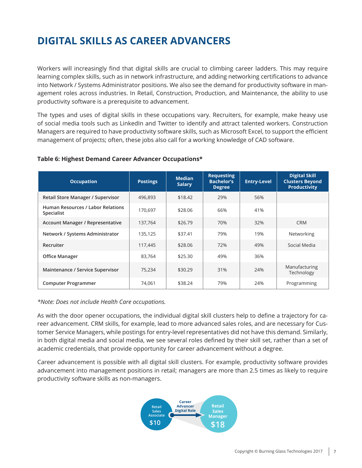## **DIGITAL SKILLS AS CAREER ADVANCERS**

Workers will increasingly find that digital skills are crucial to climbing career ladders. This may require learning complex skills, such as in network infrastructure, and adding networking certifications to advance into Network / Systems Administrator positions. We also see the demand for productivity software in management roles across industries. In Retail, Construction, Production, and Maintenance, the ability to use productivity software is a prerequisite to advancement.

The types and uses of digital skills in these occupations vary. Recruiters, for example, make heavy use of social media tools such as LinkedIn and Twitter to identify and attract talented workers. Construction Managers are required to have productivity software skills, such as Microsoft Excel, to support the efficient management of projects; often, these jobs also call for a working knowledge of CAD software.

| <b>Occupation</b>                                      | <b>Postings</b> | <b>Median</b><br><b>Salary</b> | <b>Requesting</b><br><b>Bachelor's</b><br><b>Degree</b> | <b>Entry-Level</b> | <b>Digital Skill</b><br><b>Clusters Beyond</b><br><b>Productivity</b> |
|--------------------------------------------------------|-----------------|--------------------------------|---------------------------------------------------------|--------------------|-----------------------------------------------------------------------|
| Retail Store Manager / Supervisor                      | 496.893         | \$18.42                        | 29%                                                     | 56%                |                                                                       |
| <b>Human Resources / Labor Relations</b><br>Specialist | 170.697         | \$28.06                        | 66%                                                     | 41%                |                                                                       |
| <b>Account Manager / Representative</b>                | 137,764         | \$26.79                        | 70%                                                     | 32%                | <b>CRM</b>                                                            |
| Network / Systems Administrator                        | 135,125         | \$37.41                        | 79%                                                     | 19%                | Networking                                                            |
| Recruiter                                              | 117,445         | \$28.06                        | 72%                                                     | 49%                | Social Media                                                          |
| <b>Office Manager</b>                                  | 83,764          | \$25.30                        | 49%                                                     | 36%                |                                                                       |
| Maintenance / Service Supervisor                       | 75,234          | \$30.29                        | 31%                                                     | 24%                | Manufacturing<br>Technology                                           |
| <b>Computer Programmer</b>                             | 74,061          | \$38.24                        | 79%                                                     | 24%                | Programming                                                           |

#### **Table 6: Highest Demand Career Advancer Occupations\***

*\*Note: Does not include Health Care occupations.*

As with the door opener occupations, the individual digital skill clusters help to define a trajectory for career advancement. CRM skills, for example, lead to more advanced sales roles, and are necessary for Customer Service Managers, while postings for entry-level representatives did not have this demand. Similarly, in both digital media and social media, we see several roles defined by their skill set, rather than a set of academic credentials, that provide opportunity for career advancement without a degree.

Career advancement is possible with all digital skill clusters. For example, productivity software provides advancement into management positions in retail; managers are more than 2.5 times as likely to require productivity software skills as non-managers.

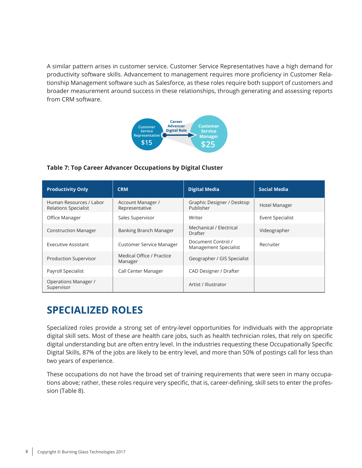A similar pattern arises in customer service. Customer Service Representatives have a high demand for productivity software skills. Advancement to management requires more proficiency in Customer Relationship Management software such as Salesforce, as these roles require both support of customers and broader measurement around success in these relationships, through generating and assessing reports from CRM software.



#### **Table 7: Top Career Advancer Occupations by Digital Cluster**

| <b>Productivity Only</b>                               | <b>CRM</b>                           | <b>Digital Media</b>                        | <b>Social Media</b>     |
|--------------------------------------------------------|--------------------------------------|---------------------------------------------|-------------------------|
| Human Resources / Labor<br><b>Relations Specialist</b> | Account Manager /<br>Representative  | Graphic Designer / Desktop<br>Publisher     | Hotel Manager           |
| Office Manager                                         | Sales Supervisor                     | Writer                                      | <b>Event Specialist</b> |
| <b>Construction Manager</b>                            | Banking Branch Manager               | Mechanical / Electrical<br>Drafter          | Videographer            |
| Executive Assistant                                    | <b>Customer Service Manager</b>      | Document Control /<br>Management Specialist | Recruiter               |
| Production Supervisor                                  | Medical Office / Practice<br>Manager | Geographer / GIS Specialist                 |                         |
| Payroll Specialist                                     | Call Center Manager                  | CAD Designer / Drafter                      |                         |
| Operations Manager /<br>Supervisor                     |                                      | Artist / Illustrator                        |                         |

### **SPECIALIZED ROLES**

Specialized roles provide a strong set of entry-level opportunities for individuals with the appropriate digital skill sets. Most of these are health care jobs, such as health technician roles, that rely on specific digital understanding but are often entry level. In the industries requesting these Occupationally Specific Digital Skills, 87% of the jobs are likely to be entry level, and more than 50% of postings call for less than two years of experience.

These occupations do not have the broad set of training requirements that were seen in many occupations above; rather, these roles require very specific, that is, career-defining, skill sets to enter the profession (Table 8).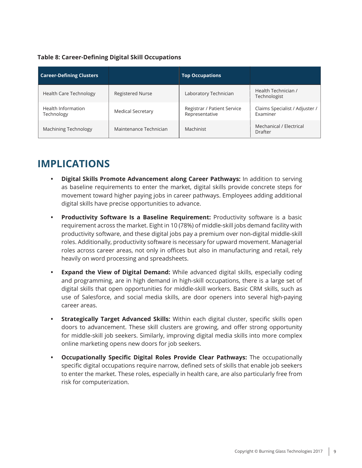### **Table 8: Career-Defining Digital Skill Occupations**

| <b>Career-Defining Clusters</b>  |                         | <b>Top Occupations</b>                        |                                            |
|----------------------------------|-------------------------|-----------------------------------------------|--------------------------------------------|
| <b>Health Care Technology</b>    | <b>Registered Nurse</b> | Laboratory Technician                         | Health Technician /<br>Technologist        |
| Health Information<br>Technology | Medical Secretary       | Registrar / Patient Service<br>Representative | Claims Specialist / Adjuster /<br>Examiner |
| Machining Technology             | Maintenance Technician  | Machinist                                     | Mechanical / Electrical<br>Drafter         |

### **IMPLICATIONS**

- **• Digital Skills Promote Advancement along Career Pathways:** In addition to serving as baseline requirements to enter the market, digital skills provide concrete steps for movement toward higher paying jobs in career pathways. Employees adding additional digital skills have precise opportunities to advance.
- **• Productivity Software Is a Baseline Requirement:** Productivity software is a basic requirement across the market. Eight in 10 (78%) of middle-skill jobs demand facility with productivity software, and these digital jobs pay a premium over non-digital middle-skill roles. Additionally, productivity software is necessary for upward movement. Managerial roles across career areas, not only in offices but also in manufacturing and retail, rely heavily on word processing and spreadsheets.
- **• Expand the View of Digital Demand:** While advanced digital skills, especially coding and programming, are in high demand in high-skill occupations, there is a large set of digital skills that open opportunities for middle-skill workers. Basic CRM skills, such as use of Salesforce, and social media skills, are door openers into several high-paying career areas.
- **• Strategically Target Advanced Skills:** Within each digital cluster, specific skills open doors to advancement. These skill clusters are growing, and offer strong opportunity for middle-skill job seekers. Similarly, improving digital media skills into more complex online marketing opens new doors for job seekers.
- **• Occupationally Specific Digital Roles Provide Clear Pathways:** The occupationally specific digital occupations require narrow, defined sets of skills that enable job seekers to enter the market. These roles, especially in health care, are also particularly free from risk for computerization.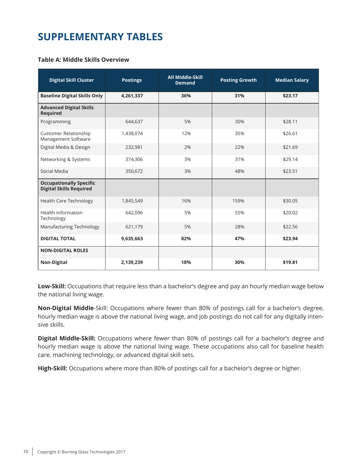### **SUPPLEMENTARY TABLES**

#### **Table A: Middle Skills Overview**

| <b>Digital Skill Cluster</b>                                     | <b>Postings</b> | <b>All Middle-Skill</b><br><b>Demand</b> | <b>Posting Growth</b> | <b>Median Salary</b> |
|------------------------------------------------------------------|-----------------|------------------------------------------|-----------------------|----------------------|
| <b>Baseline Digital Skills Only</b>                              | 4,261,337       | 36%                                      | 31%                   | \$23.17              |
| <b>Advanced Digital Skills</b><br><b>Required</b>                |                 |                                          |                       |                      |
| Programming                                                      | 644,637         | 5%                                       | 30%                   | \$28.11              |
| <b>Customer Relationship</b><br>Management Software              | 1,438,074       | 12%                                      | 35%                   | \$26.61              |
| Digital Media & Design                                           | 232,981         | 2%                                       | 22%                   | \$21.69              |
| Networking & Systems                                             | 374,306         | 3%                                       | 31%                   | \$29.14              |
| Social Media                                                     | 350,672         | 3%                                       | 48%                   | \$23.51              |
| <b>Occupationally Specific</b><br><b>Digital Skills Required</b> |                 |                                          |                       |                      |
| <b>Health Care Technology</b>                                    | 1,845,549       | 16%                                      | 159%                  | \$30.05              |
| Health Information<br>Technology                                 | 642,096         | 5%                                       | 55%                   | \$20.02              |
| Manufacturing Technology                                         | 621,179         | 5%                                       | 28%                   | \$22.56              |
| <b>DIGITAL TOTAL</b>                                             | 9,635,663       | 82%                                      | 47%                   | \$23.94              |
| <b>NON-DIGITAL ROLES</b>                                         |                 |                                          |                       |                      |
| <b>Non-Digital</b>                                               | 2,139,239       | 18%                                      | 30%                   | \$19.81              |

**Low-Skill:** Occupations that require less than a bachelor's degree and pay an hourly median wage below the national living wage.

**Non-Digital Middle**-Skill: Occupations where fewer than 80% of postings call for a bachelor's degree, hourly median wage is above the national living wage, and job postings do not call for any digitally intensive skills.

**Digital Middle-Skill:** Occupations where fewer than 80% of postings call for a bachelor's degree and hourly median wage is above the national living wage. These occupations also call for baseline health care, machining technology, or advanced digital skill sets.

**High-Skill:** Occupations where more than 80% of postings call for a bachelor's degree or higher.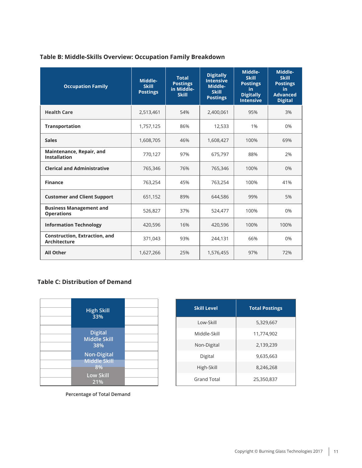### **Table B: Middle-Skills Overview: Occupation Family Breakdown**

| <b>Occupation Family</b>                                    | Middle-<br><b>Skill</b><br><b>Postings</b> | <b>Total</b><br><b>Postings</b><br>in Middle-<br><b>Skill</b> | <b>Digitally</b><br><b>Intensive</b><br>Middle-<br><b>Skill</b><br><b>Postings</b> | Middle-<br><b>Skill</b><br><b>Postings</b><br>in.<br><b>Digitally</b><br><b>Intensive</b> | Middle-<br><b>Skill</b><br><b>Postings</b><br>in.<br><b>Advanced</b><br><b>Digital</b> |
|-------------------------------------------------------------|--------------------------------------------|---------------------------------------------------------------|------------------------------------------------------------------------------------|-------------------------------------------------------------------------------------------|----------------------------------------------------------------------------------------|
| <b>Health Care</b>                                          | 2,513,461                                  | 54%                                                           | 2,400,061                                                                          | 95%                                                                                       | 3%                                                                                     |
| <b>Transportation</b>                                       | 1,757,125                                  | 86%                                                           | 12,533                                                                             | 1%                                                                                        | 0%                                                                                     |
| <b>Sales</b>                                                | 1,608,705                                  | 46%                                                           | 1,608,427                                                                          | 100%                                                                                      | 69%                                                                                    |
| Maintenance, Repair, and<br><b>Installation</b>             | 770,127                                    | 97%                                                           | 675,797                                                                            | 88%                                                                                       | 2%                                                                                     |
| <b>Clerical and Administrative</b>                          | 765,346                                    | 76%                                                           | 765,346                                                                            | 100%                                                                                      | 0%                                                                                     |
| <b>Finance</b>                                              | 763,254                                    | 45%                                                           | 763,254                                                                            | 100%                                                                                      | 41%                                                                                    |
| <b>Customer and Client Support</b>                          | 651,152                                    | 89%                                                           | 644,586                                                                            | 99%                                                                                       | 5%                                                                                     |
| <b>Business Management and</b><br><b>Operations</b>         | 526,827                                    | 37%                                                           | 524,477                                                                            | 100%                                                                                      | 0%                                                                                     |
| <b>Information Technology</b>                               | 420,596                                    | 16%                                                           | 420,596                                                                            | 100%                                                                                      | 100%                                                                                   |
| <b>Construction, Extraction, and</b><br><b>Architecture</b> | 371,043                                    | 93%                                                           | 244,131                                                                            | 66%                                                                                       | 0%                                                                                     |
| <b>All Other</b>                                            | 1,627,266                                  | 25%                                                           | 1,576,455                                                                          | 97%                                                                                       | 72%                                                                                    |

#### **Table C: Distribution of Demand**



| <b>Skill Level</b> | <b>Total Postings</b> |
|--------------------|-----------------------|
| Low-Skill          | 5.329.667             |
| Middle-Skill       | 11,774,902            |
| Non-Digital        | 2,139,239             |
| Digital            | 9,635,663             |
| High-Skill         | 8,246,268             |
| <b>Grand Total</b> | 25,350,837            |

**Percentage of Total Demand**